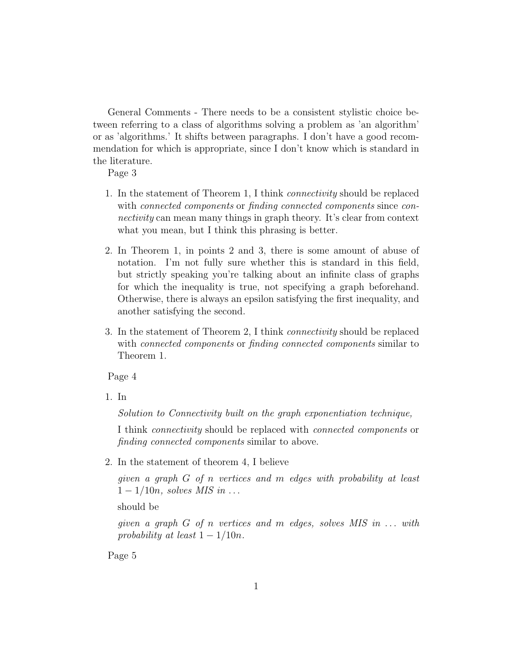General Comments - There needs to be a consistent stylistic choice between referring to a class of algorithms solving a problem as 'an algorithm' or as 'algorithms.' It shifts between paragraphs. I don't have a good recommendation for which is appropriate, since I don't know which is standard in the literature.

Page 3

- 1. In the statement of Theorem 1, I think connectivity should be replaced with *connected components* or *finding connected components* since *con*nectivity can mean many things in graph theory. It's clear from context what you mean, but I think this phrasing is better.
- 2. In Theorem 1, in points 2 and 3, there is some amount of abuse of notation. I'm not fully sure whether this is standard in this field, but strictly speaking you're talking about an infinite class of graphs for which the inequality is true, not specifying a graph beforehand. Otherwise, there is always an epsilon satisfying the first inequality, and another satisfying the second.
- 3. In the statement of Theorem 2, I think connectivity should be replaced with *connected components* or *finding connected components* similar to Theorem 1.

Page 4

1. In

Solution to Connectivity built on the graph exponentiation technique,

I think connectivity should be replaced with connected components or finding connected components similar to above.

2. In the statement of theorem 4, I believe

given a graph G of n vertices and m edges with probability at least  $1 - 1/10n$ , solves MIS in ...

should be

given a graph  $G$  of n vertices and m edges, solves MIS in  $\dots$  with probability at least  $1 - 1/10n$ .

Page 5